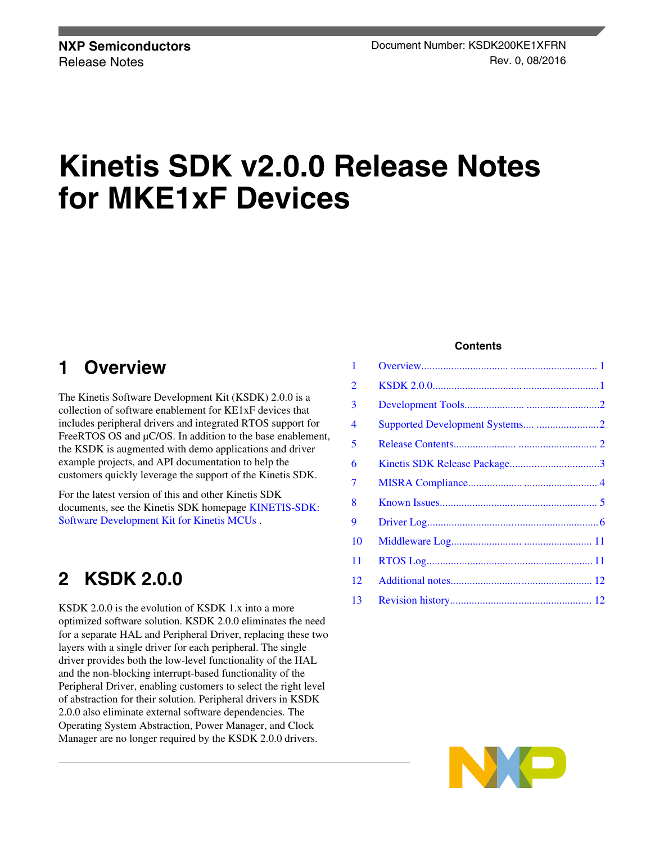# **Kinetis SDK v2.0.0 Release Notes for MKE1xF Devices**

### **1 Overview**

The Kinetis Software Development Kit (KSDK) 2.0.0 is a collection of software enablement for KE1xF devices that includes peripheral drivers and integrated RTOS support for FreeRTOS OS and  $\mu$ C/OS. In addition to the base enablement, the KSDK is augmented with demo applications and driver example projects, and API documentation to help the customers quickly leverage the support of the Kinetis SDK.

For the latest version of this and other Kinetis SDK documents, see the Kinetis SDK homepage [KINETIS-SDK:](http://www.nxp.com/ksdk) [Software Development Kit for Kinetis MCUs](http://www.nxp.com/ksdk) .

# **2 KSDK 2.0.0**

KSDK 2.0.0 is the evolution of KSDK 1.x into a more optimized software solution. KSDK 2.0.0 eliminates the need for a separate HAL and Peripheral Driver, replacing these two layers with a single driver for each peripheral. The single driver provides both the low-level functionality of the HAL and the non-blocking interrupt-based functionality of the Peripheral Driver, enabling customers to select the right level of abstraction for their solution. Peripheral drivers in KSDK 2.0.0 also eliminate external software dependencies. The Operating System Abstraction, Power Manager, and Clock Manager are no longer required by the KSDK 2.0.0 drivers.

#### **Contents**

| 1  |  |
|----|--|
| 2  |  |
| 3  |  |
| 4  |  |
| 5  |  |
| 6  |  |
| 7  |  |
| 8  |  |
| 9  |  |
| 10 |  |
| 11 |  |
| 12 |  |
| 13 |  |
|    |  |

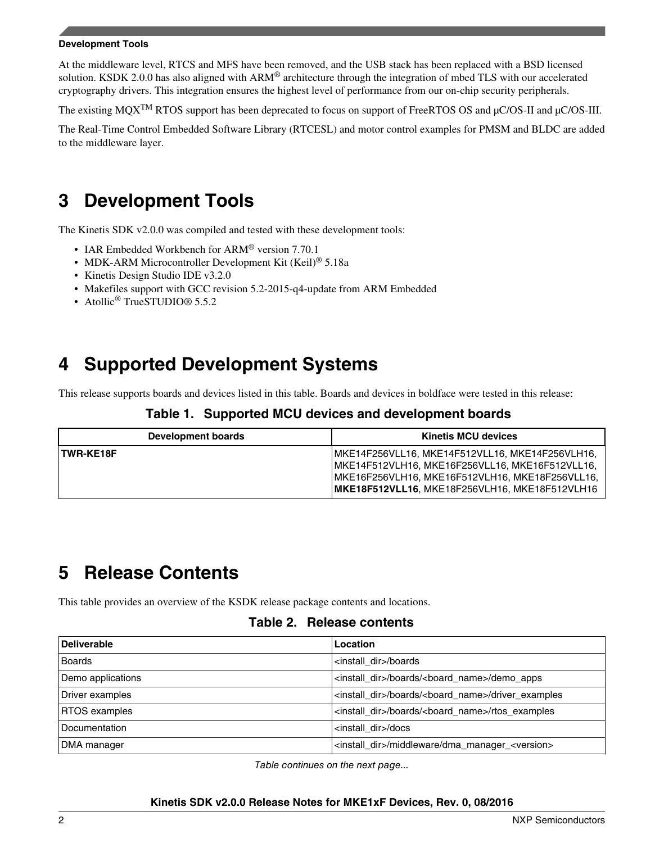#### <span id="page-1-0"></span>**Development Tools**

At the middleware level, RTCS and MFS have been removed, and the USB stack has been replaced with a BSD licensed solution. KSDK 2.0.0 has also aligned with ARM<sup>®</sup> architecture through the integration of mbed TLS with our accelerated cryptography drivers. This integration ensures the highest level of performance from our on-chip security peripherals.

The existing MQX<sup>TM</sup> RTOS support has been deprecated to focus on support of FreeRTOS OS and µC/OS-II and µC/OS-III.

The Real-Time Control Embedded Software Library (RTCESL) and motor control examples for PMSM and BLDC are added to the middleware layer.

# **3 Development Tools**

The Kinetis SDK v2.0.0 was compiled and tested with these development tools:

- IAR Embedded Workbench for ARM® version 7.70.1
- MDK-ARM Microcontroller Development Kit (Keil)<sup>®</sup> 5.18a
- Kinetis Design Studio IDE v3.2.0
- Makefiles support with GCC revision 5.2-2015-q4-update from ARM Embedded
- Atollic<sup>®</sup> TrueSTUDIO® 5.5.2

# **4 Supported Development Systems**

This release supports boards and devices listed in this table. Boards and devices in boldface were tested in this release:

#### **Table 1. Supported MCU devices and development boards**

| Development boards | <b>Kinetis MCU devices</b>                                                                                                                                                                                |
|--------------------|-----------------------------------------------------------------------------------------------------------------------------------------------------------------------------------------------------------|
| TWR-KE18F          | MKE14F256VLL16, MKE14F512VLL16, MKE14F256VLH16,<br> MKE14F512VLH16, MKE16F256VLL16, MKE16F512VLL16,<br> MKE16F256VLH16, MKE16F512VLH16, MKE18F256VLL16,<br>MKE18F512VLL16, MKE18F256VLH16, MKE18F512VLH16 |

# **5 Release Contents**

This table provides an overview of the KSDK release package contents and locations.

#### **Table 2. Release contents**

| Deliverable          | Location                                                                  |  |
|----------------------|---------------------------------------------------------------------------|--|
| Boards               | <install dir="">/boards</install>                                         |  |
| Demo applications    | <install_dir>/boards/<board_name>/demo_apps</board_name></install_dir>    |  |
| Driver examples      | <install dir="">/boards/<board name="">/driver examples</board></install> |  |
| <b>RTOS</b> examples | <install dir="">/boards/<board name="">/rtos examples</board></install>   |  |
| Documentation        | <install dir="">/docs</install>                                           |  |
| DMA manager          | <install_dir>/middleware/dma_manager_<version></version></install_dir>    |  |

*Table continues on the next page...*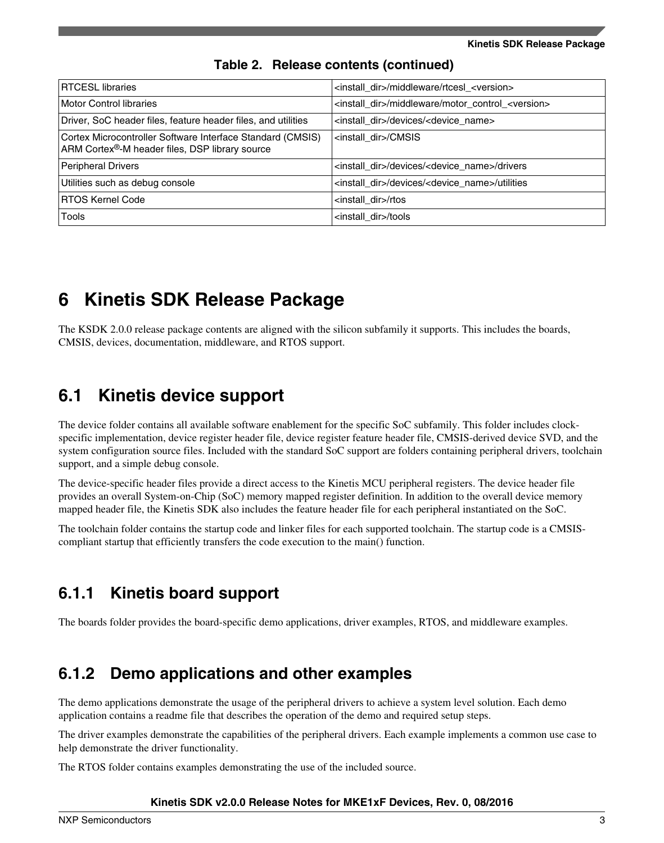<span id="page-2-0"></span>

| <b>RTCESL libraries</b>                                                                                      | <install dir="">/middleware/rtcesl <version></version></install>         |  |
|--------------------------------------------------------------------------------------------------------------|--------------------------------------------------------------------------|--|
| Motor Control libraries                                                                                      | <install_dir>/middleware/motor_control_<version></version></install_dir> |  |
| Driver, SoC header files, feature header files, and utilities                                                | <install dir="">/devices/<device name=""></device></install>             |  |
| Cortex Microcontroller Software Interface Standard (CMSIS)<br>ARM Cortex®-M header files, DSP library source | <install dir="">/CMSIS</install>                                         |  |
| Peripheral Drivers                                                                                           | <install dir="">/devices/<device name="">/drivers</device></install>     |  |
| Utilities such as debug console                                                                              | <install dir="">/devices/<device name="">/utilities</device></install>   |  |
| <b>RTOS Kernel Code</b>                                                                                      | <install dir="">/rtos</install>                                          |  |
| Tools                                                                                                        | <install dir="">/tools</install>                                         |  |

#### **Table 2. Release contents (continued)**

### **6 Kinetis SDK Release Package**

The KSDK 2.0.0 release package contents are aligned with the silicon subfamily it supports. This includes the boards, CMSIS, devices, documentation, middleware, and RTOS support.

### **6.1 Kinetis device support**

The device folder contains all available software enablement for the specific SoC subfamily. This folder includes clockspecific implementation, device register header file, device register feature header file, CMSIS-derived device SVD, and the system configuration source files. Included with the standard SoC support are folders containing peripheral drivers, toolchain support, and a simple debug console.

The device-specific header files provide a direct access to the Kinetis MCU peripheral registers. The device header file provides an overall System-on-Chip (SoC) memory mapped register definition. In addition to the overall device memory mapped header file, the Kinetis SDK also includes the feature header file for each peripheral instantiated on the SoC.

The toolchain folder contains the startup code and linker files for each supported toolchain. The startup code is a CMSIScompliant startup that efficiently transfers the code execution to the main() function.

### **6.1.1 Kinetis board support**

The boards folder provides the board-specific demo applications, driver examples, RTOS, and middleware examples.

### **6.1.2 Demo applications and other examples**

The demo applications demonstrate the usage of the peripheral drivers to achieve a system level solution. Each demo application contains a readme file that describes the operation of the demo and required setup steps.

The driver examples demonstrate the capabilities of the peripheral drivers. Each example implements a common use case to help demonstrate the driver functionality.

The RTOS folder contains examples demonstrating the use of the included source.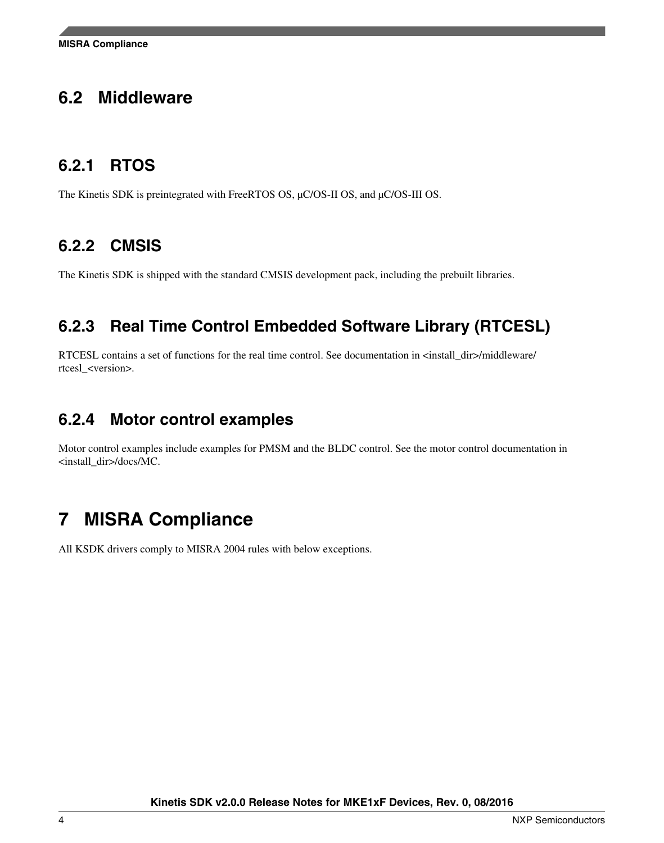### <span id="page-3-0"></span>**6.2 Middleware**

### **6.2.1 RTOS**

The Kinetis SDK is preintegrated with FreeRTOS OS, μC/OS-II OS, and μC/OS-III OS.

### **6.2.2 CMSIS**

The Kinetis SDK is shipped with the standard CMSIS development pack, including the prebuilt libraries.

### **6.2.3 Real Time Control Embedded Software Library (RTCESL)**

RTCESL contains a set of functions for the real time control. See documentation in <install\_dir>/middleware/ rtcesl\_<version>.

### **6.2.4 Motor control examples**

Motor control examples include examples for PMSM and the BLDC control. See the motor control documentation in <install\_dir>/docs/MC.

# **7 MISRA Compliance**

All KSDK drivers comply to MISRA 2004 rules with below exceptions.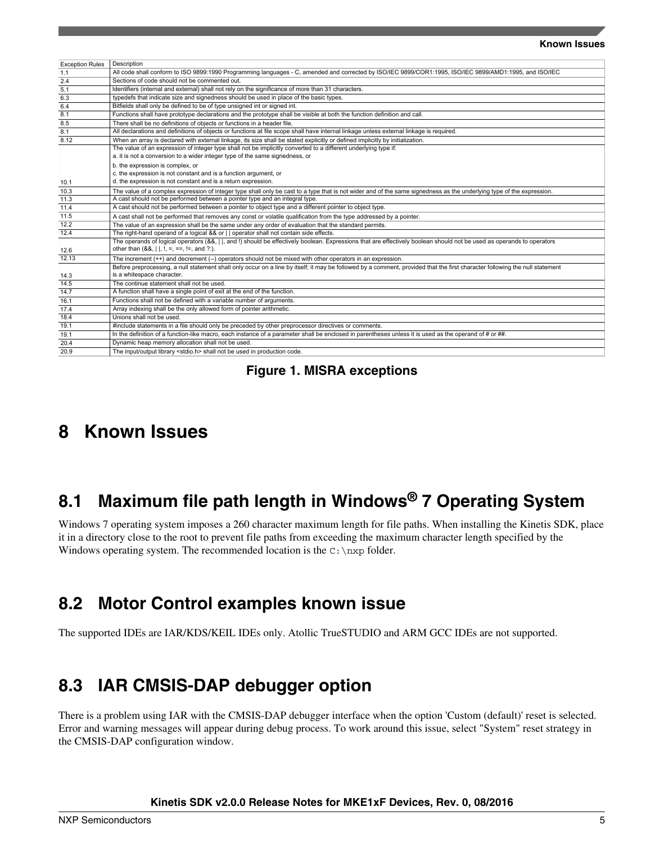#### **Known Issues**

<span id="page-4-0"></span>

| <b>Exception Rules</b> | Description                                                                                                                                                                                                             |  |  |  |
|------------------------|-------------------------------------------------------------------------------------------------------------------------------------------------------------------------------------------------------------------------|--|--|--|
| 1.1                    | All code shall conform to ISO 9899:1990 Programming languages - C, amended and corrected by ISO/IEC 9899/COR1:1995, ISO/IEC 9899/AMD1:1995, and ISO/IEC                                                                 |  |  |  |
| 2.4                    | Sections of code should not be commented out.                                                                                                                                                                           |  |  |  |
| 5.1                    | Identifiers (internal and external) shall not rely on the significance of more than 31 characters.                                                                                                                      |  |  |  |
| 6.3                    | typedefs that indicate size and signedness should be used in place of the basic types.                                                                                                                                  |  |  |  |
| 6.4                    | Bitfields shall only be defined to be of type unsigned int or signed int.                                                                                                                                               |  |  |  |
| 8.1                    | Functions shall have prototype declarations and the prototype shall be visible at both the function definition and call.                                                                                                |  |  |  |
| 8.5                    | There shall be no definitions of objects or functions in a header file.                                                                                                                                                 |  |  |  |
| 8.1                    | All declarations and definitions of objects or functions at file scope shall have internal linkage unless external linkage is required.                                                                                 |  |  |  |
| 8.12                   | When an array is declared with external linkage, its size shall be stated explicitly or defined implicitly by initialization.                                                                                           |  |  |  |
|                        | The value of an expression of integer type shall not be implicitly converted to a different underlying type if:                                                                                                         |  |  |  |
|                        | a. it is not a conversion to a wider integer type of the same signedness, or<br>b. the expression is complex, or                                                                                                        |  |  |  |
|                        |                                                                                                                                                                                                                         |  |  |  |
|                        | c. the expression is not constant and is a function argument, or                                                                                                                                                        |  |  |  |
| 10.1                   | d. the expression is not constant and is a return expression.                                                                                                                                                           |  |  |  |
| 10.3                   | The value of a complex expression of integer type shall only be cast to a type that is not wider and of the same signedness as the underlying type of the expression.                                                   |  |  |  |
| 11.3                   | A cast should not be performed between a pointer type and an integral type.                                                                                                                                             |  |  |  |
| 11.4                   | A cast should not be performed between a pointer to object type and a different pointer to object type.                                                                                                                 |  |  |  |
| 11.5                   | A cast shall not be performed that removes any const or volatile qualification from the type addressed by a pointer.                                                                                                    |  |  |  |
| 12.2                   | The value of an expression shall be the same under any order of evaluation that the standard permits.                                                                                                                   |  |  |  |
| 12.4                   | The right-hand operand of a logical && or     operator shall not contain side effects.                                                                                                                                  |  |  |  |
| 12.6                   | The operands of logical operators (&&,    , and !) should be effectively boolean. Expressions that are effectively boolean should not be used as operands to operators<br>other than $(8.8,    ,  , =, ==, !=, and ?).$ |  |  |  |
| 12.13                  | The increment $(++)$ and decrement $(-)$ operators should not be mixed with other operators in an expression.                                                                                                           |  |  |  |
| 14.3                   | Before preprocessing, a null statement shall only occur on a line by itself; it may be followed by a comment, provided that the first character following the null statement<br>is a whitespace character.              |  |  |  |
| 14.5                   | The continue statement shall not be used.                                                                                                                                                                               |  |  |  |
| 14.7                   | A function shall have a single point of exit at the end of the function.                                                                                                                                                |  |  |  |
| 16.1                   | Functions shall not be defined with a variable number of arguments.                                                                                                                                                     |  |  |  |
| 17.4                   | Array indexing shall be the only allowed form of pointer arithmetic.                                                                                                                                                    |  |  |  |
| 18.4                   | Unions shall not be used.                                                                                                                                                                                               |  |  |  |
| 19.1                   | #include statements in a file should only be preceded by other preprocessor directives or comments.                                                                                                                     |  |  |  |
| 19.1                   | In the definition of a function-like macro, each instance of a parameter shall be enclosed in parentheses unless it is used as the operand of # or ##.                                                                  |  |  |  |
| 20.4                   | Dynamic heap memory allocation shall not be used.                                                                                                                                                                       |  |  |  |
| 20.9                   | The input/output library <stdio.h> shall not be used in production code.</stdio.h>                                                                                                                                      |  |  |  |

**Figure 1. MISRA exceptions**

### **8 Known Issues**

# **8.1 Maximum file path length in Windows® 7 Operating System**

Windows 7 operating system imposes a 260 character maximum length for file paths. When installing the Kinetis SDK, place it in a directory close to the root to prevent file paths from exceeding the maximum character length specified by the Windows operating system. The recommended location is the  $C:\n \nx$  folder.

### **8.2 Motor Control examples known issue**

The supported IDEs are IAR/KDS/KEIL IDEs only. Atollic TrueSTUDIO and ARM GCC IDEs are not supported.

### **8.3 IAR CMSIS-DAP debugger option**

There is a problem using IAR with the CMSIS-DAP debugger interface when the option 'Custom (default)' reset is selected. Error and warning messages will appear during debug process. To work around this issue, select "System" reset strategy in the CMSIS-DAP configuration window.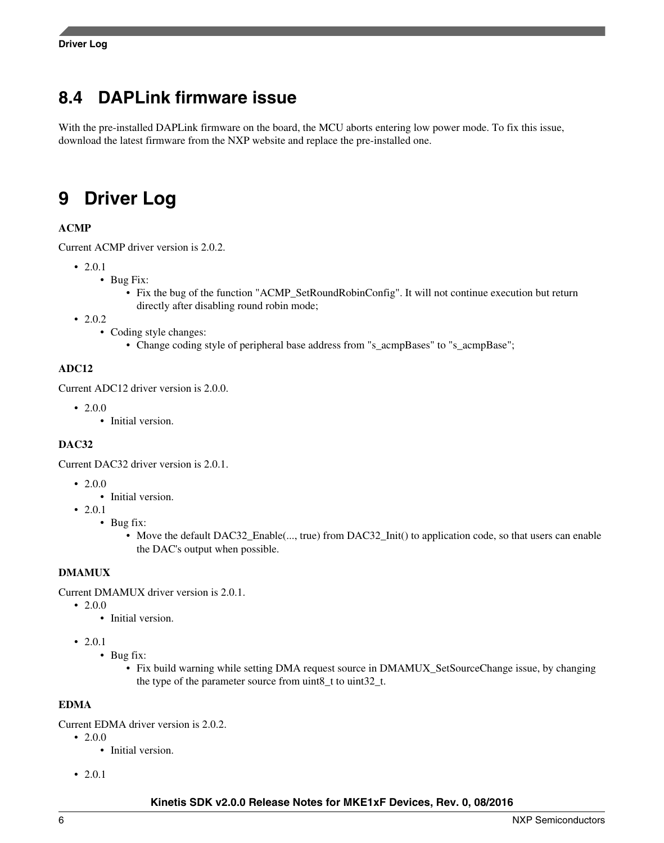# <span id="page-5-0"></span>**8.4 DAPLink firmware issue**

With the pre-installed DAPLink firmware on the board, the MCU aborts entering low power mode. To fix this issue, download the latest firmware from the NXP website and replace the pre-installed one.

# **9 Driver Log**

#### **ACMP**

Current ACMP driver version is 2.0.2.

- 2.0.1
	- Bug Fix:
		- Fix the bug of the function "ACMP\_SetRoundRobinConfig". It will not continue execution but return directly after disabling round robin mode;
- 2.0.2
	- Coding style changes:
		- Change coding style of peripheral base address from "s\_acmpBases" to "s\_acmpBase";

#### **ADC12**

Current ADC12 driver version is 2.0.0.

- $\cdot$  2.0.0
	- Initial version.

#### **DAC32**

Current DAC32 driver version is 2.0.1.

- $\cdot$  2.0.0
	- Initial version.
- 2.0.1
	- Bug fix:
		- Move the default DAC32\_Enable(..., true) from DAC32\_Init() to application code, so that users can enable the DAC's output when possible.

#### **DMAMUX**

Current DMAMUX driver version is 2.0.1.

- $2.0.0$ 
	- Initial version.
- $2.0.1$ 
	- Bug fix:
		- Fix build warning while setting DMA request source in DMAMUX SetSourceChange issue, by changing the type of the parameter source from uint8\_t to uint32\_t.

#### **EDMA**

Current EDMA driver version is 2.0.2.

- $\cdot$  2.0.0
	- Initial version.
- 2.0.1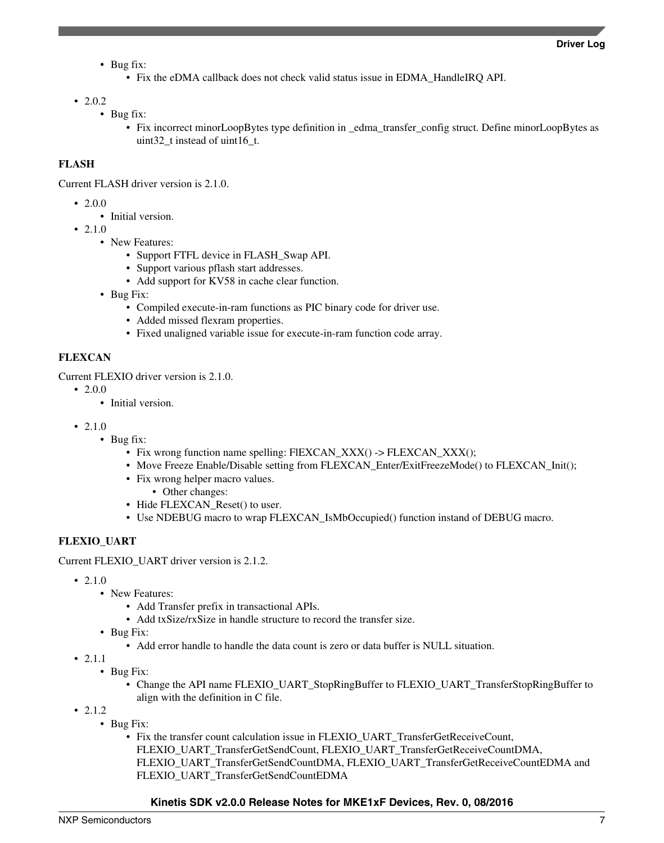- Bug fix:
	- Fix the eDMA callback does not check valid status issue in EDMA\_HandleIRQ API.

• 2.0.2

- Bug fix:
	- Fix incorrect minorLoopBytes type definition in \_edma\_transfer\_config struct. Define minorLoopBytes as uint32 t instead of uint16 t.

#### **FLASH**

Current FLASH driver version is 2.1.0.

- $\cdot$  2.0.0
	- Initial version.
- $2.1.0$ 
	- New Features:
		- Support FTFL device in FLASH Swap API.
		- Support various pflash start addresses.
		- Add support for KV58 in cache clear function.
	- Bug Fix:
		- Compiled execute-in-ram functions as PIC binary code for driver use.
		- Added missed flexram properties.
		- Fixed unaligned variable issue for execute-in-ram function code array.

#### **FLEXCAN**

Current FLEXIO driver version is 2.1.0.

- 2.0.0
	- Initial version.
- 2.1.0
	- Bug fix:
		- Fix wrong function name spelling: FIEXCAN\_XXX() -> FLEXCAN\_XXX();
		- Move Freeze Enable/Disable setting from FLEXCAN Enter/ExitFreezeMode() to FLEXCAN Init();
		- Fix wrong helper macro values.
			- Other changes:
		- Hide FLEXCAN\_Reset() to user.
		- Use NDEBUG macro to wrap FLEXCAN\_IsMbOccupied() function instand of DEBUG macro.

#### **FLEXIO\_UART**

Current FLEXIO\_UART driver version is 2.1.2.

- 2.1.0
	- New Features:
		- Add Transfer prefix in transactional APIs.
		- Add txSize/rxSize in handle structure to record the transfer size.
	- Bug Fix:
		- Add error handle to handle the data count is zero or data buffer is NULL situation.
- 2.1.1
	- Bug Fix:
		- Change the API name FLEXIO\_UART\_StopRingBuffer to FLEXIO\_UART\_TransferStopRingBuffer to align with the definition in C file.
- 2.1.2
	- Bug Fix:
		- Fix the transfer count calculation issue in FLEXIO\_UART\_TransferGetReceiveCount, FLEXIO\_UART\_TransferGetSendCount, FLEXIO\_UART\_TransferGetReceiveCountDMA, FLEXIO\_UART\_TransferGetSendCountDMA, FLEXIO\_UART\_TransferGetReceiveCountEDMA and FLEXIO\_UART\_TransferGetSendCountEDMA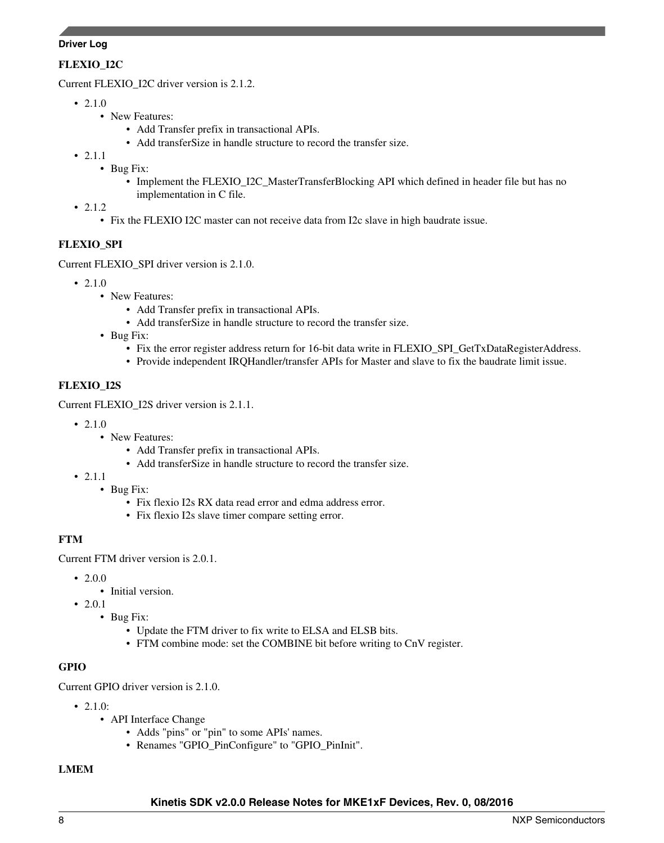#### **Driver Log**

#### **FLEXIO\_I2C**

Current FLEXIO\_I2C driver version is 2.1.2.

- 2.1.0
	- New Features:
		- Add Transfer prefix in transactional APIs.
		- Add transferSize in handle structure to record the transfer size.
- 2.1.1
	- Bug Fix:
		- Implement the FLEXIO\_I2C\_MasterTransferBlocking API which defined in header file but has no implementation in C file.
- 2.1.2
	- Fix the FLEXIO I2C master can not receive data from I2c slave in high baudrate issue.

#### **FLEXIO\_SPI**

Current FLEXIO\_SPI driver version is 2.1.0.

- $210$ 
	- New Features:
		- Add Transfer prefix in transactional APIs.
		- Add transferSize in handle structure to record the transfer size.
	- Bug Fix:
		- Fix the error register address return for 16-bit data write in FLEXIO\_SPI\_GetTxDataRegisterAddress.
		- Provide independent IRQHandler/transfer APIs for Master and slave to fix the baudrate limit issue.

#### **FLEXIO\_I2S**

Current FLEXIO\_I2S driver version is 2.1.1.

- 2.1.0
	- New Features:
		- Add Transfer prefix in transactional APIs.
		- Add transferSize in handle structure to record the transfer size.
- 2.1.1
	- Bug Fix:
		- Fix flexio I2s RX data read error and edma address error.
		- Fix flexio I2s slave timer compare setting error.

#### **FTM**

Current FTM driver version is 2.0.1.

- 2.0.0
	- Initial version.
- 2.0.1
	- Bug Fix:
		- Update the FTM driver to fix write to ELSA and ELSB bits.
		- FTM combine mode: set the COMBINE bit before writing to CnV register.

#### **GPIO**

Current GPIO driver version is 2.1.0.

- $2.1 \text{ } 0$ 
	- API Interface Change
		- Adds "pins" or "pin" to some APIs' names.
		- Renames "GPIO\_PinConfigure" to "GPIO\_PinInit".

#### **LMEM**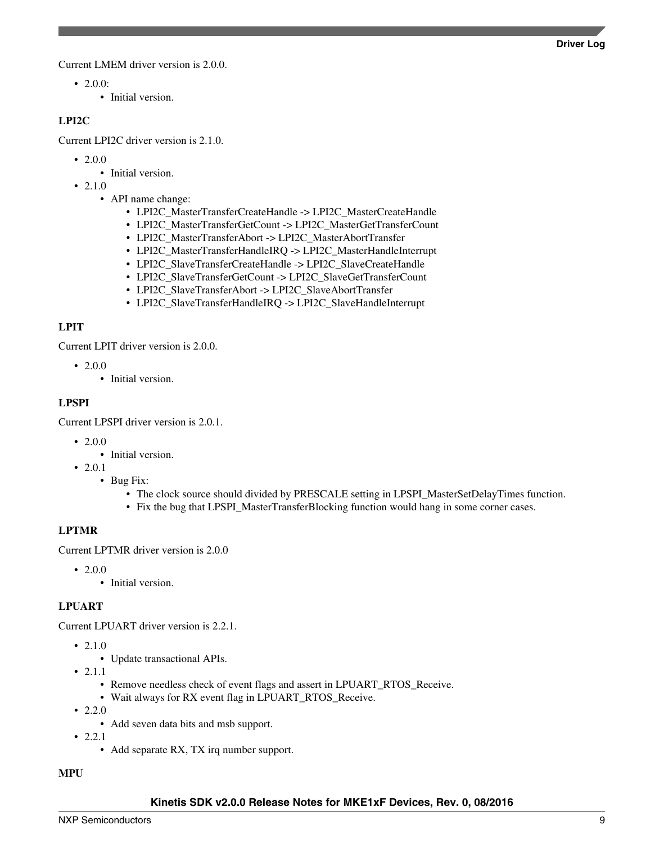Current LMEM driver version is 2.0.0.

- 2.0.0:
	- Initial version.

#### **LPI2C**

Current LPI2C driver version is 2.1.0.

- 2.0.0
	- Initial version.
- 2.1.0
	- API name change:
		- LPI2C\_MasterTransferCreateHandle -> LPI2C\_MasterCreateHandle
		- LPI2C\_MasterTransferGetCount -> LPI2C\_MasterGetTransferCount
		- LPI2C\_MasterTransferAbort -> LPI2C\_MasterAbortTransfer
		- LPI2C\_MasterTransferHandleIRQ -> LPI2C\_MasterHandleInterrupt
		- LPI2C\_SlaveTransferCreateHandle -> LPI2C\_SlaveCreateHandle
		- LPI2C\_SlaveTransferGetCount -> LPI2C\_SlaveGetTransferCount
		- LPI2C\_SlaveTransferAbort -> LPI2C\_SlaveAbortTransfer
		- LPI2C\_SlaveTransferHandleIRQ -> LPI2C\_SlaveHandleInterrupt

#### **LPIT**

Current LPIT driver version is 2.0.0.

- $\cdot$  2.0.0
	- Initial version.

#### **LPSPI**

Current LPSPI driver version is 2.0.1.

- $2.0.0$ 
	- Initial version.
- 2.0.1
	- Bug Fix:
		- The clock source should divided by PRESCALE setting in LPSPI\_MasterSetDelayTimes function.
		- Fix the bug that LPSPI\_MasterTransferBlocking function would hang in some corner cases.

#### **LPTMR**

Current LPTMR driver version is 2.0.0

- 2.0.0
	- Initial version.

#### **LPUART**

Current LPUART driver version is 2.2.1.

- 2.1.0
	- Update transactional APIs.
- 2.1.1
	- Remove needless check of event flags and assert in LPUART\_RTOS\_Receive.
	- Wait always for RX event flag in LPUART\_RTOS\_Receive.
- 2.2.0
	- Add seven data bits and msb support.
- 2.2.1
	- Add separate RX, TX irq number support.

#### **MPU**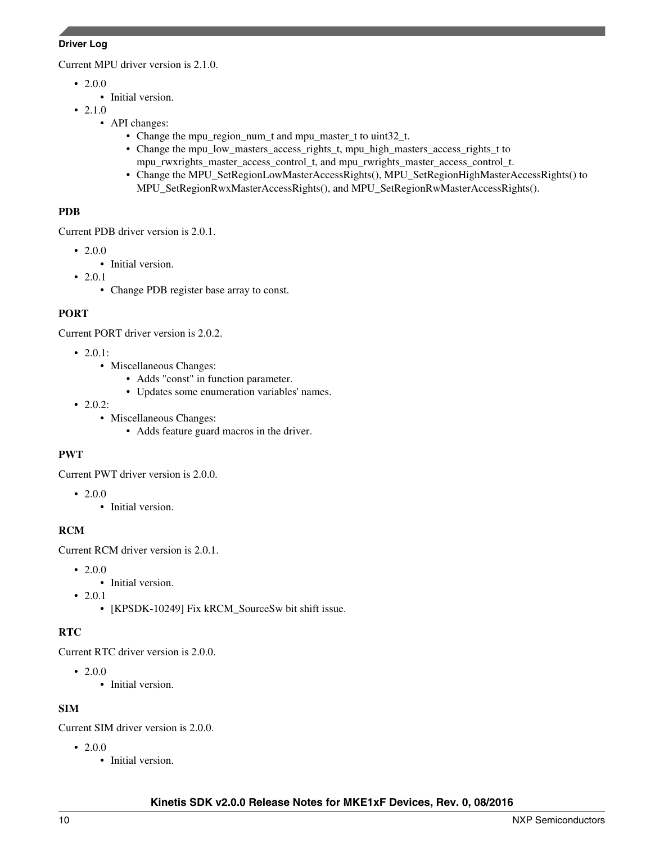#### **Driver Log**

Current MPU driver version is 2.1.0.

- 2.0.0
	- Initial version.
- 2.1.0
	- API changes:
		- Change the mpu\_region\_num\_t and mpu\_master\_t to uint32\_t.
		- Change the mpu\_low\_masters\_access\_rights\_t, mpu\_high\_masters\_access\_rights\_t to mpu\_rwxrights\_master\_access\_control\_t, and mpu\_rwrights\_master\_access\_control\_t.
		- Change the MPU\_SetRegionLowMasterAccessRights(), MPU\_SetRegionHighMasterAccessRights() to MPU\_SetRegionRwxMasterAccessRights(), and MPU\_SetRegionRwMasterAccessRights().

#### **PDB**

Current PDB driver version is 2.0.1.

- $2.0.0$ 
	- Initial version.
- 2.0.1
	- Change PDB register base array to const.

#### **PORT**

Current PORT driver version is 2.0.2.

- 2.0.1:
	- Miscellaneous Changes:
		- Adds "const" in function parameter.
		- Updates some enumeration variables' names.
- 2.0.2:
	- Miscellaneous Changes:
		- Adds feature guard macros in the driver.

#### **PWT**

Current PWT driver version is 2.0.0.

- 2.0.0
	- Initial version.

#### **RCM**

Current RCM driver version is 2.0.1.

- 2.0.0
	- Initial version.
- 2.0.1
	- [KPSDK-10249] Fix kRCM\_SourceSw bit shift issue.

#### **RTC**

Current RTC driver version is 2.0.0.

- 2.0.0
	- Initial version.

#### **SIM**

Current SIM driver version is 2.0.0.

- 2.0.0
	- Initial version.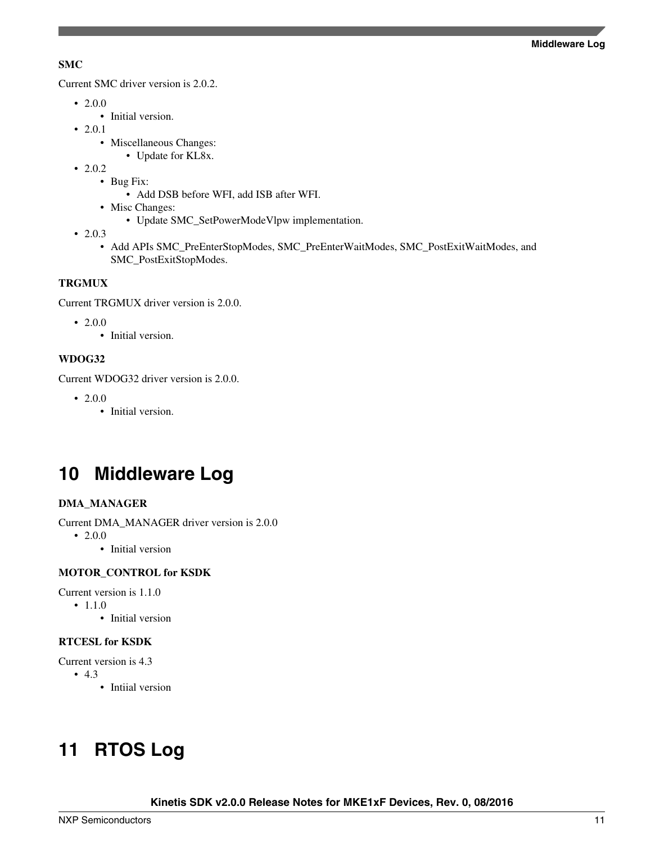#### <span id="page-10-0"></span>**SMC**

Current SMC driver version is 2.0.2.

- 2.0.0
	- Initial version.
- 2.0.1
	- Miscellaneous Changes:
		- Update for KL8x.
- 2.0.2
	- Bug Fix:
		- Add DSB before WFI, add ISB after WFI.
	- Misc Changes:
		- Update SMC\_SetPowerModeVlpw implementation.
- 2.0.3
	- Add APIs SMC\_PreEnterStopModes, SMC\_PreEnterWaitModes, SMC\_PostExitWaitModes, and SMC\_PostExitStopModes.

#### **TRGMUX**

Current TRGMUX driver version is 2.0.0.

- 2.0.0
	- Initial version.

#### **WDOG32**

Current WDOG32 driver version is 2.0.0.

- 2.0.0
	- Initial version.

# **10 Middleware Log**

#### **DMA\_MANAGER**

Current DMA\_MANAGER driver version is 2.0.0

- 2.0.0
	- Initial version

#### **MOTOR\_CONTROL for KSDK**

Current version is 1.1.0

- 1.1.0
	- Initial version

#### **RTCESL for KSDK**

Current version is 4.3

- 4.3
	- Intiial version

# **11 RTOS Log**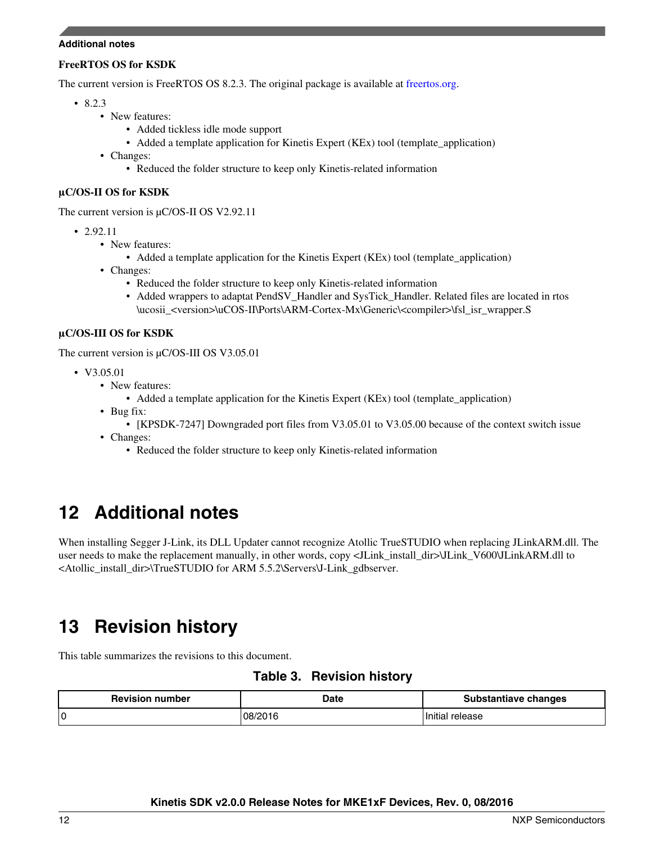#### <span id="page-11-0"></span>**Additional notes**

#### **FreeRTOS OS for KSDK**

The current version is FreeRTOS OS 8.2.3. The original package is available at [freertos.org.](http://www.freertos.org)

- 8.2.3
	- New features:
		- Added tickless idle mode support
		- Added a template application for Kinetis Expert (KEx) tool (template\_application)
	- Changes:
		- Reduced the folder structure to keep only Kinetis-related information

#### **μC/OS-II OS for KSDK**

The current version is μC/OS-II OS V2.92.11

- 2.92.11
	- New features:
		- Added a template application for the Kinetis Expert (KEx) tool (template\_application)
	- Changes:
		- Reduced the folder structure to keep only Kinetis-related information
		- Added wrappers to adaptat PendSV Handler and SysTick Handler. Related files are located in rtos \ucosii\_<version>\uCOS-II\Ports\ARM-Cortex-Mx\Generic\<compiler>\fsl\_isr\_wrapper.S

#### **μC/OS-III OS for KSDK**

The current version is μC/OS-III OS V3.05.01

- V3.05.01
	- New features:
		- Added a template application for the Kinetis Expert (KEx) tool (template\_application)
	- Bug fix:
		- [KPSDK-7247] Downgraded port files from V3.05.01 to V3.05.00 because of the context switch issue
	- Changes:
		- Reduced the folder structure to keep only Kinetis-related information

# **12 Additional notes**

When installing Segger J-Link, its DLL Updater cannot recognize Atollic TrueSTUDIO when replacing JLinkARM.dll. The user needs to make the replacement manually, in other words, copy <JLink\_install\_dir>\JLink\_V600\JLinkARM.dll to <Atollic\_install\_dir>\TrueSTUDIO for ARM 5.5.2\Servers\J-Link\_gdbserver.

# **13 Revision history**

This table summarizes the revisions to this document.

**Table 3. Revision history**

| <b>Revision number</b> | Date    | <b>Substantiave changes</b> |
|------------------------|---------|-----------------------------|
| 0                      | 08/2016 | . Initial<br>release        |